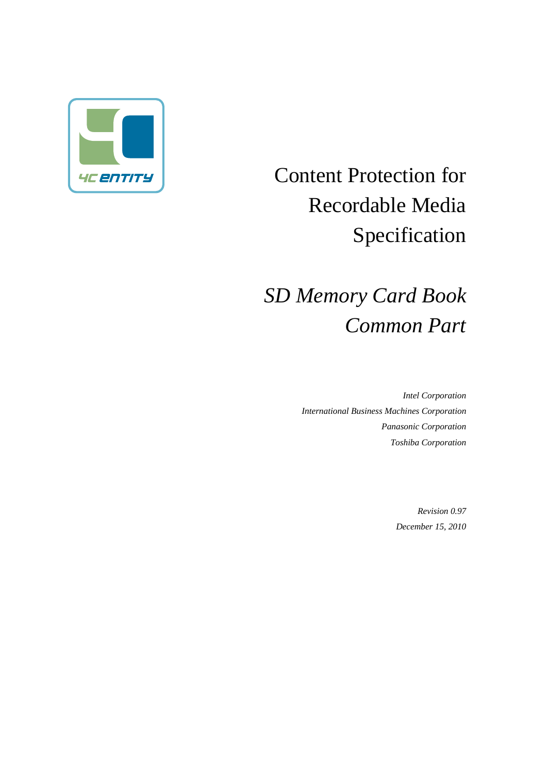

# Content Protection for Recordable Media Specification

# *SD Memory Card Book Common Part*

*Intel Corporation International Business Machines Corporation Panasonic Corporation Toshiba Corporation* 

> *Revision 0.97 December 15, 2010*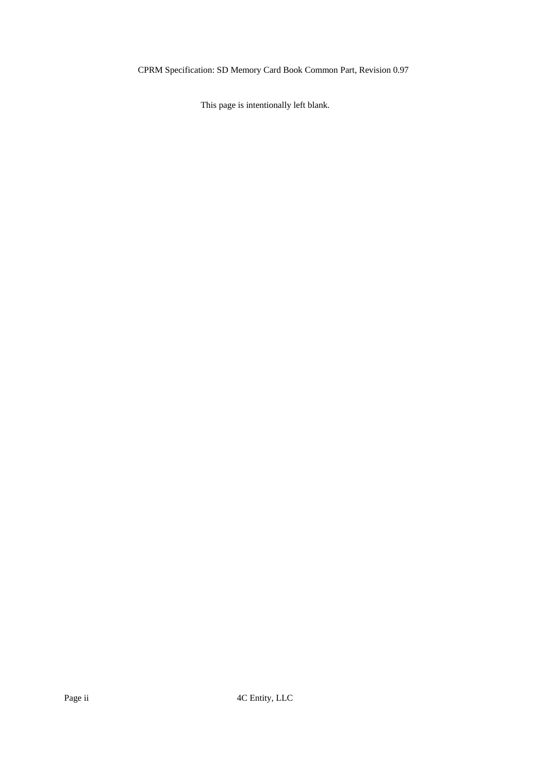This page is intentionally left blank.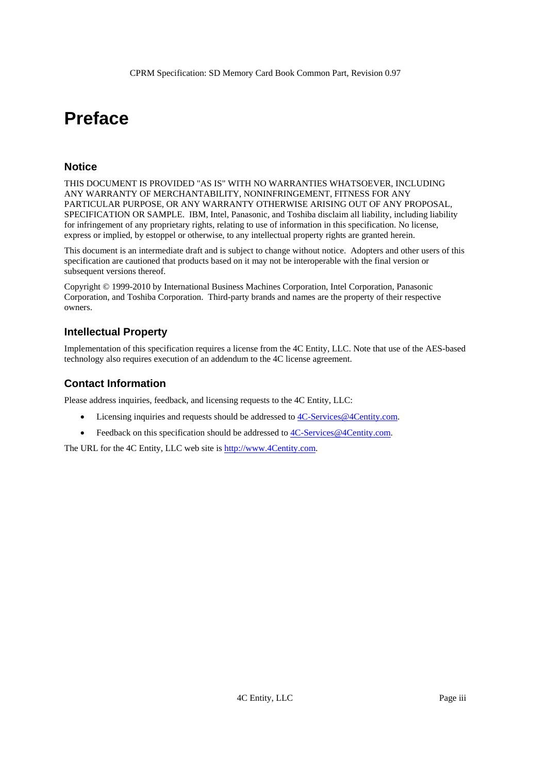# **Preface**

## **Notice**

THIS DOCUMENT IS PROVIDED "AS IS" WITH NO WARRANTIES WHATSOEVER, INCLUDING ANY WARRANTY OF MERCHANTABILITY, NONINFRINGEMENT, FITNESS FOR ANY PARTICULAR PURPOSE, OR ANY WARRANTY OTHERWISE ARISING OUT OF ANY PROPOSAL, SPECIFICATION OR SAMPLE. IBM, Intel, Panasonic, and Toshiba disclaim all liability, including liability for infringement of any proprietary rights, relating to use of information in this specification. No license, express or implied, by estoppel or otherwise, to any intellectual property rights are granted herein.

This document is an intermediate draft and is subject to change without notice. Adopters and other users of this specification are cautioned that products based on it may not be interoperable with the final version or subsequent versions thereof.

Copyright © 1999-2010 by International Business Machines Corporation, Intel Corporation, Panasonic Corporation, and Toshiba Corporation. Third-party brands and names are the property of their respective owners.

## **Intellectual Property**

Implementation of this specification requires a license from the 4C Entity, LLC. Note that use of the AES-based technology also requires execution of an addendum to the 4C license agreement.

## **Contact Information**

Please address inquiries, feedback, and licensing requests to the 4C Entity, LLC:

- Licensing inquiries and requests should be addressed to  $4C$ -Services @4Centity.com.
- Feedback on this specification should be addressed to 4C-Services @4Centity.com.

The URL for the 4C Entity, LLC web site is http://www.4Centity.com.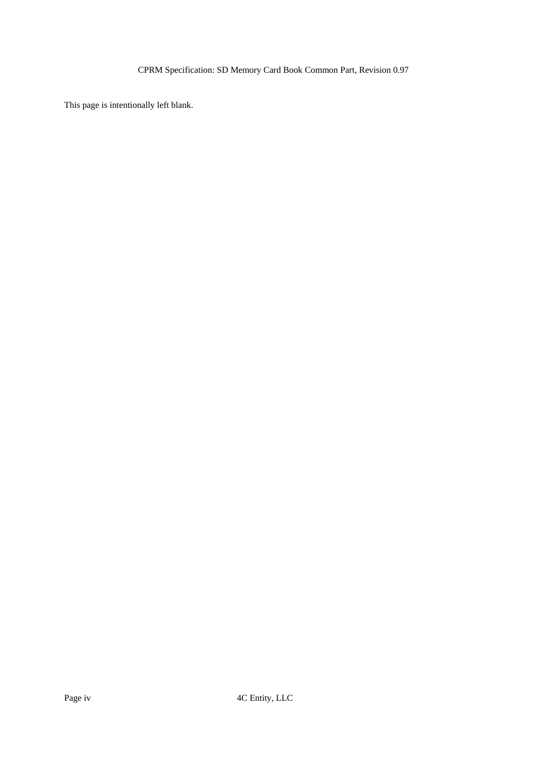This page is intentionally left blank.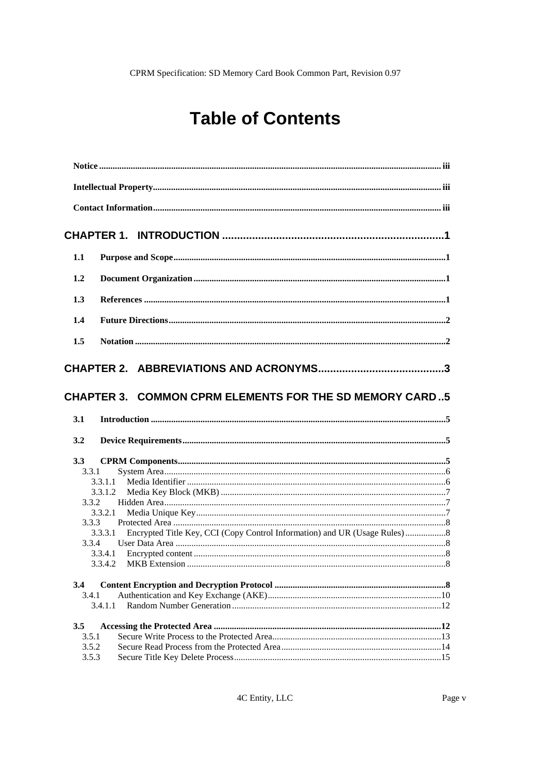# **Table of Contents**

| 1.1                   |                                                                                                 |  |
|-----------------------|-------------------------------------------------------------------------------------------------|--|
| $1.2\,$               |                                                                                                 |  |
| 1.3                   |                                                                                                 |  |
| 1.4                   |                                                                                                 |  |
| 1.5                   |                                                                                                 |  |
|                       |                                                                                                 |  |
|                       | <b>CHAPTER 3. COMMON CPRM ELEMENTS FOR THE SD MEMORY CARD5</b>                                  |  |
|                       |                                                                                                 |  |
| 3.1                   |                                                                                                 |  |
| 3.2                   |                                                                                                 |  |
| 3.3<br>3.3.1<br>3.3.2 | 3.3.1.1<br>3.3.1.2                                                                              |  |
| 3.3.3                 | 3.3.2.1<br>Encrypted Title Key, CCI (Copy Control Information) and UR (Usage Rules)8<br>3.3.3.1 |  |
| 3.3.4                 | 3.3.4.1<br>3.3.4.2                                                                              |  |
| 3.4<br>3.4.1          | 3.4.1.1                                                                                         |  |
| $3.5^{\circ}$         |                                                                                                 |  |
| 3.5.1                 |                                                                                                 |  |
| 3.5.2<br>3.5.3        |                                                                                                 |  |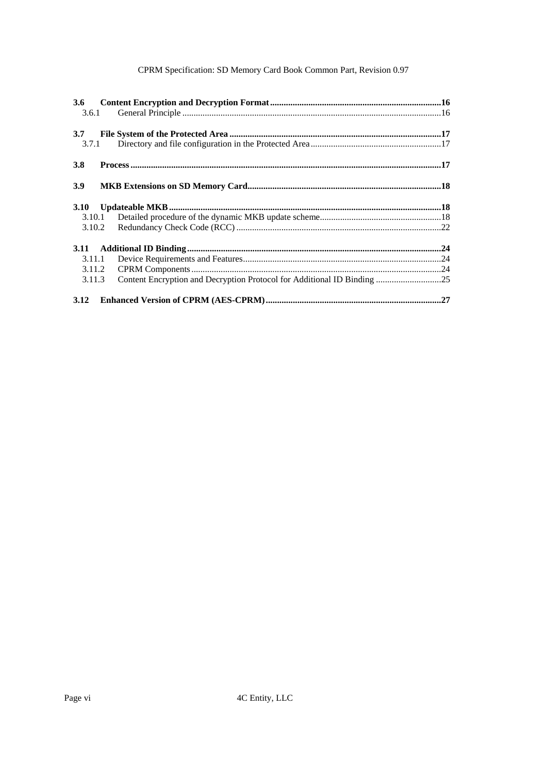|        | 3.6.1  |  |
|--------|--------|--|
|        |        |  |
| 3.7.1  |        |  |
| 3.8    |        |  |
| 3.9    |        |  |
|        |        |  |
|        |        |  |
|        | 3.10.2 |  |
|        |        |  |
| 3.11.1 |        |  |
|        |        |  |
|        |        |  |
| 3.11.3 |        |  |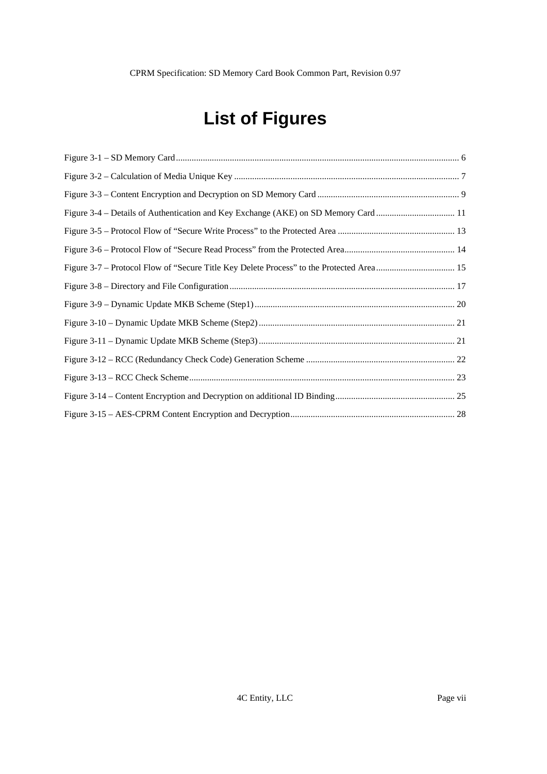# **List of Figures**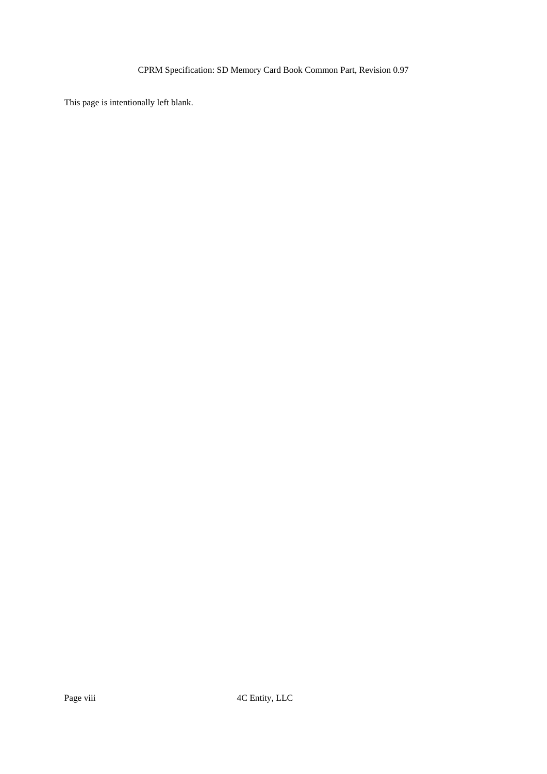This page is intentionally left blank.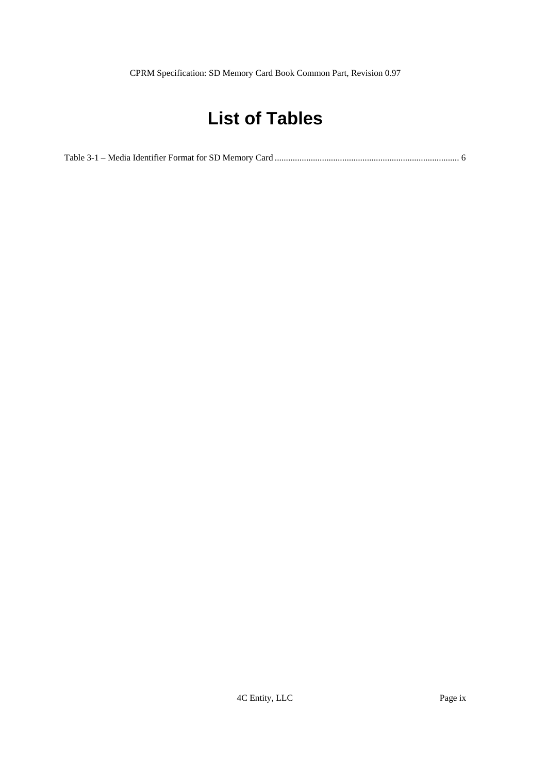# **List of Tables**

Table 3-1 – Media Identifier Format for SD Memory Card .................................................................................. 6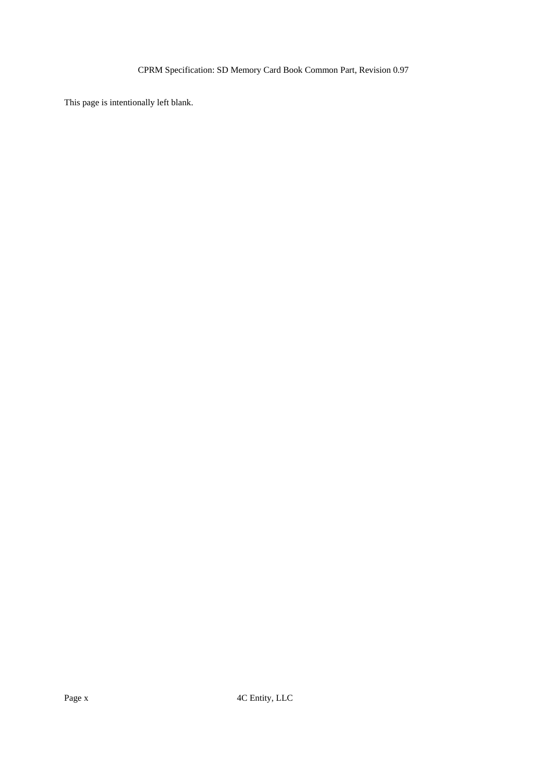This page is intentionally left blank.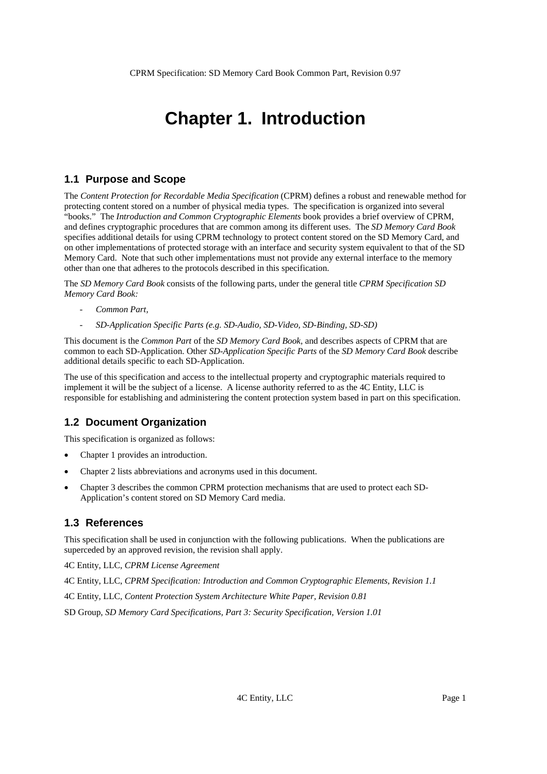## **Chapter 1. Introduction**

## **1.1 Purpose and Scope**

The *Content Protection for Recordable Media Specification* (CPRM) defines a robust and renewable method for protecting content stored on a number of physical media types. The specification is organized into several "books." The *Introduction and Common Cryptographic Elements* book provides a brief overview of CPRM, and defines cryptographic procedures that are common among its different uses. The *SD Memory Card Book* specifies additional details for using CPRM technology to protect content stored on the SD Memory Card, and on other implementations of protected storage with an interface and security system equivalent to that of the SD Memory Card. Note that such other implementations must not provide any external interface to the memory other than one that adheres to the protocols described in this specification.

The *SD Memory Card Book* consists of the following parts, under the general title *CPRM Specification SD Memory Card Book:* 

- *Common Part,*
- *SD-Application Specific Parts (e.g. SD-Audio, SD-Video, SD-Binding, SD-SD)*

This document is the *Common Part* of the *SD Memory Card Book,* and describes aspects of CPRM that are common to each SD-Application. Other *SD-Application Specific Parts* of the *SD Memory Card Book* describe additional details specific to each SD-Application.

The use of this specification and access to the intellectual property and cryptographic materials required to implement it will be the subject of a license. A license authority referred to as the 4C Entity, LLC is responsible for establishing and administering the content protection system based in part on this specification.

## **1.2 Document Organization**

This specification is organized as follows:

- Chapter 1 provides an introduction.
- Chapter 2 lists abbreviations and acronyms used in this document.
- Chapter 3 describes the common CPRM protection mechanisms that are used to protect each SD-Application's content stored on SD Memory Card media.

### **1.3 References**

This specification shall be used in conjunction with the following publications. When the publications are superceded by an approved revision, the revision shall apply.

4C Entity, LLC, *CPRM License Agreement*

4C Entity, LLC, *CPRM Specification: Introduction and Common Cryptographic Elements, Revision 1.1*

4C Entity, LLC, *Content Protection System Architecture White Paper, Revision 0.81*

SD Group, *SD Memory Card Specifications, Part 3: Security Specification, Version 1.01*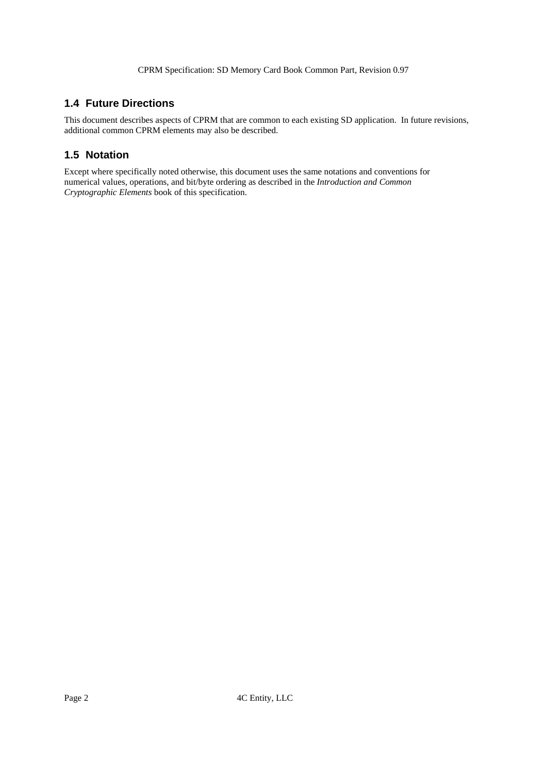## **1.4 Future Directions**

This document describes aspects of CPRM that are common to each existing SD application. In future revisions, additional common CPRM elements may also be described.

## **1.5 Notation**

Except where specifically noted otherwise, this document uses the same notations and conventions for numerical values, operations, and bit/byte ordering as described in the *Introduction and Common Cryptographic Elements* book of this specification.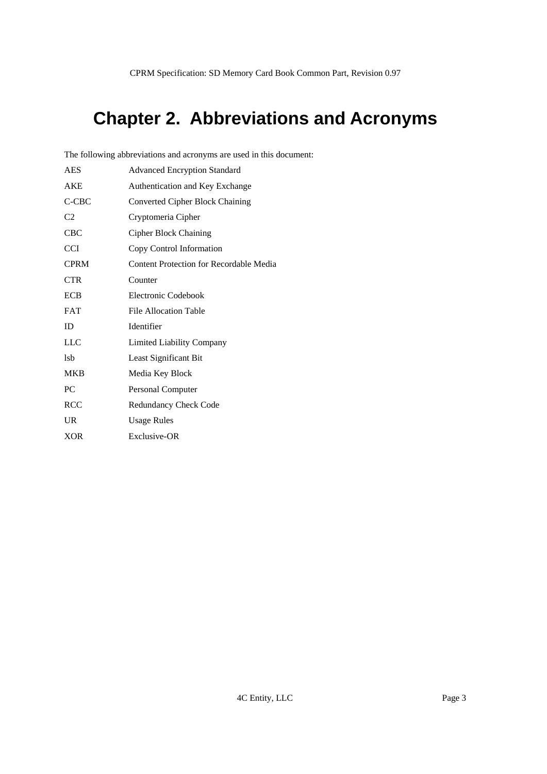# **Chapter 2. Abbreviations and Acronyms**

| <b>AES</b>     | <b>Advanced Encryption Standard</b>            |
|----------------|------------------------------------------------|
| <b>AKE</b>     | Authentication and Key Exchange                |
| C-CBC          | <b>Converted Cipher Block Chaining</b>         |
| C <sub>2</sub> | Cryptomeria Cipher                             |
| <b>CBC</b>     | Cipher Block Chaining                          |
| <b>CCI</b>     | Copy Control Information                       |
| <b>CPRM</b>    | <b>Content Protection for Recordable Media</b> |
| <b>CTR</b>     | Counter                                        |
| <b>ECB</b>     | Electronic Codebook                            |
| <b>FAT</b>     | File Allocation Table                          |
| ID             | Identifier                                     |
| <b>LLC</b>     | Limited Liability Company                      |
| 1sb            | Least Significant Bit                          |
| <b>MKB</b>     | Media Key Block                                |
| PC.            | Personal Computer                              |
| <b>RCC</b>     | <b>Redundancy Check Code</b>                   |
| <b>UR</b>      | <b>Usage Rules</b>                             |
| <b>XOR</b>     | Exclusive-OR                                   |

The following abbreviations and acronyms are used in this document: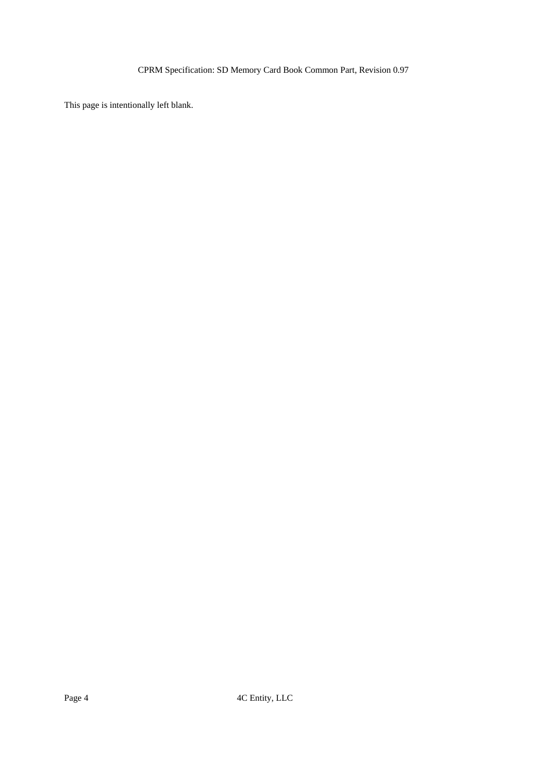This page is intentionally left blank.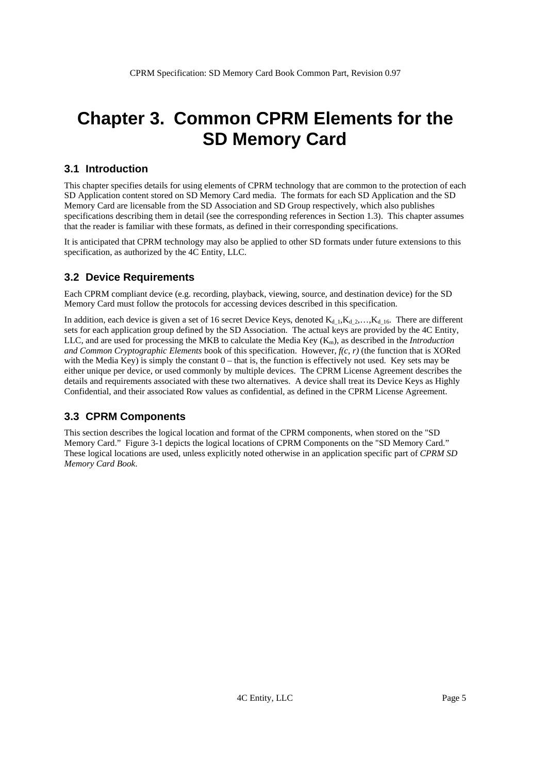## **Chapter 3. Common CPRM Elements for the SD Memory Card**

## **3.1 Introduction**

This chapter specifies details for using elements of CPRM technology that are common to the protection of each SD Application content stored on SD Memory Card media. The formats for each SD Application and the SD Memory Card are licensable from the SD Association and SD Group respectively, which also publishes specifications describing them in detail (see the corresponding references in Section 1.3). This chapter assumes that the reader is familiar with these formats, as defined in their corresponding specifications.

It is anticipated that CPRM technology may also be applied to other SD formats under future extensions to this specification, as authorized by the 4C Entity, LLC.

## **3.2 Device Requirements**

Each CPRM compliant device (e.g. recording, playback, viewing, source, and destination device) for the SD Memory Card must follow the protocols for accessing devices described in this specification.

In addition, each device is given a set of 16 secret Device Keys, denoted  $K_{d-1},K_{d-2},...,K_{d-16}$ . There are different sets for each application group defined by the SD Association. The actual keys are provided by the 4C Entity, LLC, and are used for processing the MKB to calculate the Media Key  $(K_m)$ , as described in the *Introduction and Common Cryptographic Elements* book of this specification. However, *f(c, r)* (the function that is XORed with the Media Key) is simply the constant  $0$  – that is, the function is effectively not used. Key sets may be either unique per device, or used commonly by multiple devices. The CPRM License Agreement describes the details and requirements associated with these two alternatives. A device shall treat its Device Keys as Highly Confidential, and their associated Row values as confidential, as defined in the CPRM License Agreement.

## **3.3 CPRM Components**

This section describes the logical location and format of the CPRM components, when stored on the "SD Memory Card." Figure 3-1 depicts the logical locations of CPRM Components on the "SD Memory Card." These logical locations are used, unless explicitly noted otherwise in an application specific part of *CPRM SD Memory Card Book*.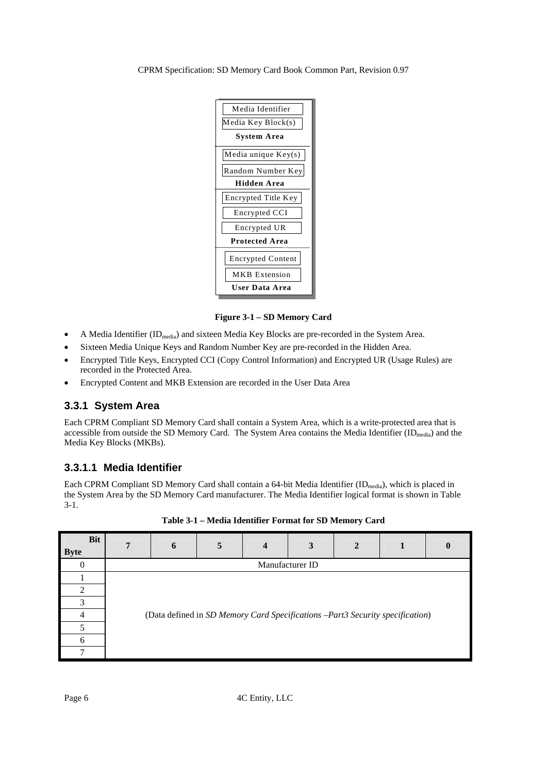



**Figure 3-1 – SD Memory Card** 

- A Media Identifier (IDmedia) and sixteen Media Key Blocks are pre-recorded in the System Area.
- Sixteen Media Unique Keys and Random Number Key are pre-recorded in the Hidden Area.
- Encrypted Title Keys, Encrypted CCI (Copy Control Information) and Encrypted UR (Usage Rules) are recorded in the Protected Area.
- Encrypted Content and MKB Extension are recorded in the User Data Area

## **3.3.1 System Area**

Each CPRM Compliant SD Memory Card shall contain a System Area, which is a write-protected area that is accessible from outside the SD Memory Card. The System Area contains the Media Identifier (ID<sub>media</sub>) and the Media Key Blocks (MKBs).

## **3.3.1.1 Media Identifier**

Each CPRM Compliant SD Memory Card shall contain a 64-bit Media Identifier (ID<sub>media</sub>), which is placed in the System Area by the SD Memory Card manufacturer. The Media Identifier logical format is shown in Table 3-1.

| <b>Bit</b><br><b>Byte</b> | 7                                                                             | 6 | 5 | 4 | 3 | 2 | $\bf{0}$ |
|---------------------------|-------------------------------------------------------------------------------|---|---|---|---|---|----------|
| 0                         | Manufacturer ID                                                               |   |   |   |   |   |          |
|                           | (Data defined in SD Memory Card Specifications -Part3 Security specification) |   |   |   |   |   |          |
| ∍                         |                                                                               |   |   |   |   |   |          |
| 3                         |                                                                               |   |   |   |   |   |          |
| 4                         |                                                                               |   |   |   |   |   |          |
|                           |                                                                               |   |   |   |   |   |          |
| 6                         |                                                                               |   |   |   |   |   |          |
|                           |                                                                               |   |   |   |   |   |          |

**Table 3-1 – Media Identifier Format for SD Memory Card**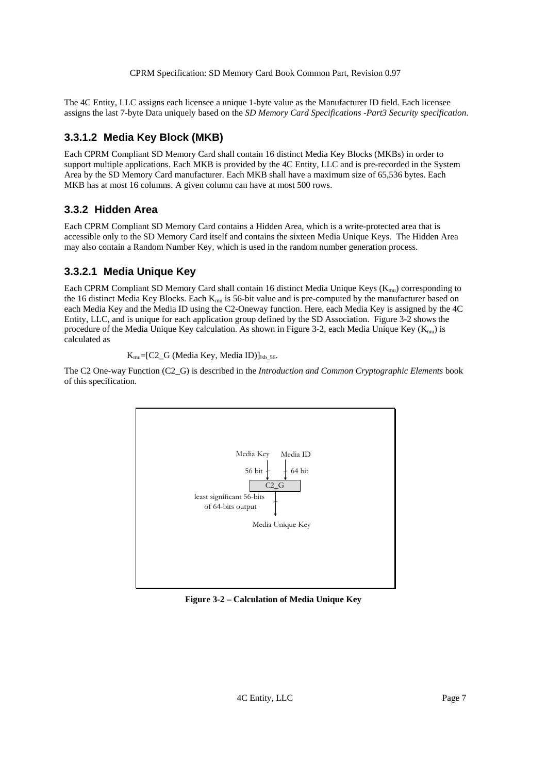The 4C Entity, LLC assigns each licensee a unique 1-byte value as the Manufacturer ID field. Each licensee assigns the last 7-byte Data uniquely based on the *SD Memory Card Specifications -Part3 Security specification*.

## **3.3.1.2 Media Key Block (MKB)**

Each CPRM Compliant SD Memory Card shall contain 16 distinct Media Key Blocks (MKBs) in order to support multiple applications. Each MKB is provided by the 4C Entity, LLC and is pre-recorded in the System Area by the SD Memory Card manufacturer. Each MKB shall have a maximum size of 65,536 bytes. Each MKB has at most 16 columns. A given column can have at most 500 rows.

## **3.3.2 Hidden Area**

Each CPRM Compliant SD Memory Card contains a Hidden Area, which is a write-protected area that is accessible only to the SD Memory Card itself and contains the sixteen Media Unique Keys. The Hidden Area may also contain a Random Number Key, which is used in the random number generation process.

## **3.3.2.1 Media Unique Key**

Each CPRM Compliant SD Memory Card shall contain 16 distinct Media Unique Keys  $(K_{\text{mu}})$  corresponding to the 16 distinct Media Key Blocks. Each  $K_{mn}$  is 56-bit value and is pre-computed by the manufacturer based on each Media Key and the Media ID using the C2-Oneway function. Here, each Media Key is assigned by the 4C Entity, LLC, and is unique for each application group defined by the SD Association. Figure 3-2 shows the procedure of the Media Unique Key calculation. As shown in Figure 3-2, each Media Unique Key ( $K_{\text{mu}}$ ) is calculated as

 $K_{mu}=[C2_G (Media Key, Media ID)]_{lsb}$  56.

The C2 One-way Function (C2\_G) is described in the *Introduction and Common Cryptographic Elements* book of this specification.



**Figure 3-2 – Calculation of Media Unique Key**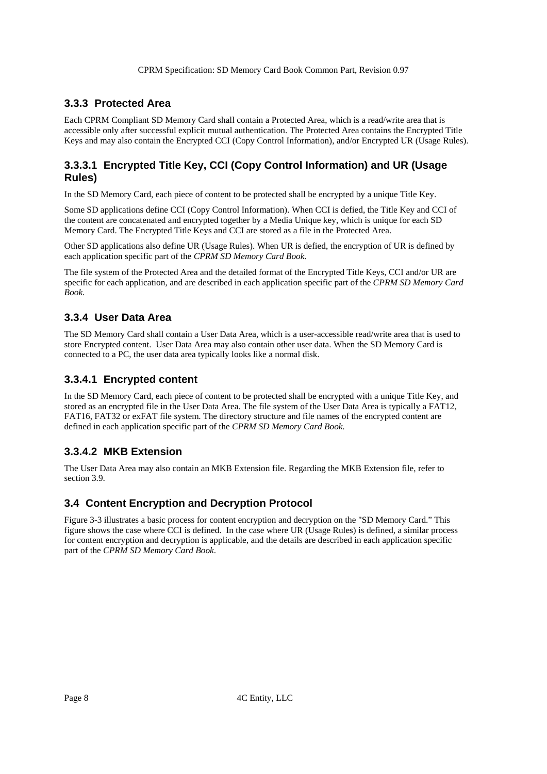## **3.3.3 Protected Area**

Each CPRM Compliant SD Memory Card shall contain a Protected Area, which is a read/write area that is accessible only after successful explicit mutual authentication. The Protected Area contains the Encrypted Title Keys and may also contain the Encrypted CCI (Copy Control Information), and/or Encrypted UR (Usage Rules).

## **3.3.3.1 Encrypted Title Key, CCI (Copy Control Information) and UR (Usage Rules)**

In the SD Memory Card, each piece of content to be protected shall be encrypted by a unique Title Key.

Some SD applications define CCI (Copy Control Information). When CCI is defied, the Title Key and CCI of the content are concatenated and encrypted together by a Media Unique key, which is unique for each SD Memory Card. The Encrypted Title Keys and CCI are stored as a file in the Protected Area.

Other SD applications also define UR (Usage Rules). When UR is defied, the encryption of UR is defined by each application specific part of the *CPRM SD Memory Card Book*.

The file system of the Protected Area and the detailed format of the Encrypted Title Keys, CCI and/or UR are specific for each application, and are described in each application specific part of the *CPRM SD Memory Card Book.*

## **3.3.4 User Data Area**

The SD Memory Card shall contain a User Data Area, which is a user-accessible read/write area that is used to store Encrypted content. User Data Area may also contain other user data. When the SD Memory Card is connected to a PC, the user data area typically looks like a normal disk.

## **3.3.4.1 Encrypted content**

In the SD Memory Card, each piece of content to be protected shall be encrypted with a unique Title Key, and stored as an encrypted file in the User Data Area. The file system of the User Data Area is typically a FAT12, FAT16, FAT32 or exFAT file system. The directory structure and file names of the encrypted content are defined in each application specific part of the *CPRM SD Memory Card Book*.

## **3.3.4.2 MKB Extension**

The User Data Area may also contain an MKB Extension file. Regarding the MKB Extension file, refer to section 3.9.

## **3.4 Content Encryption and Decryption Protocol**

Figure 3-3 illustrates a basic process for content encryption and decryption on the "SD Memory Card." This figure shows the case where CCI is defined. In the case where UR (Usage Rules) is defined, a similar process for content encryption and decryption is applicable, and the details are described in each application specific part of the *CPRM SD Memory Card Book*.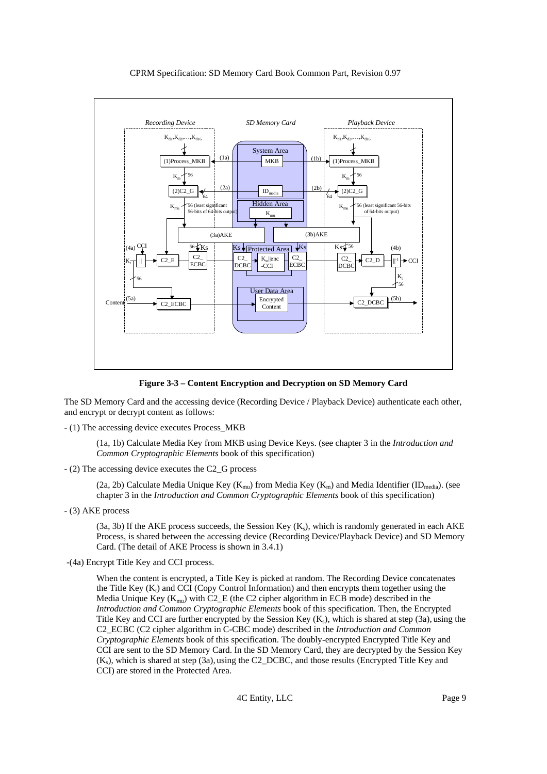



**Figure 3-3 – Content Encryption and Decryption on SD Memory Card** 

The SD Memory Card and the accessing device (Recording Device / Playback Device) authenticate each other, and encrypt or decrypt content as follows:

- (1) The accessing device executes Process\_MKB

(1a, 1b) Calculate Media Key from MKB using Device Keys. (see chapter 3 in the *Introduction and Common Cryptographic Elements* book of this specification)

- (2) The accessing device executes the C2\_G process

(2a, 2b) Calculate Media Unique Key ( $K_{\text{mu}}$ ) from Media Key ( $K_{\text{m}}$ ) and Media Identifier (ID<sub>media</sub>). (see chapter 3 in the *Introduction and Common Cryptographic Elements* book of this specification)

- (3) AKE process

 $(3a, 3b)$  If the AKE process succeeds, the Session Key  $(K_s)$ , which is randomly generated in each AKE Process, is shared between the accessing device (Recording Device/Playback Device) and SD Memory Card. (The detail of AKE Process is shown in 3.4.1)

-(4a) Encrypt Title Key and CCI process.

When the content is encrypted, a Title Key is picked at random. The Recording Device concatenates the Title Key  $(K_t)$  and CCI (Copy Control Information) and then encrypts them together using the Media Unique Key  $(K_{mu})$  with C2\_E (the C2 cipher algorithm in ECB mode) described in the *Introduction and Common Cryptographic Elements* book of this specification. Then, the Encrypted Title Key and CCI are further encrypted by the Session Key  $(K_s)$ , which is shared at step  $(3a)$ , using the C2\_ECBC (C2 cipher algorithm in C-CBC mode) described in the *Introduction and Common Cryptographic Elements* book of this specification. The doubly-encrypted Encrypted Title Key and CCI are sent to the SD Memory Card. In the SD Memory Card, they are decrypted by the Session Key (Ks), which is shared at step (3a), using the C2\_DCBC, and those results (Encrypted Title Key and CCI) are stored in the Protected Area.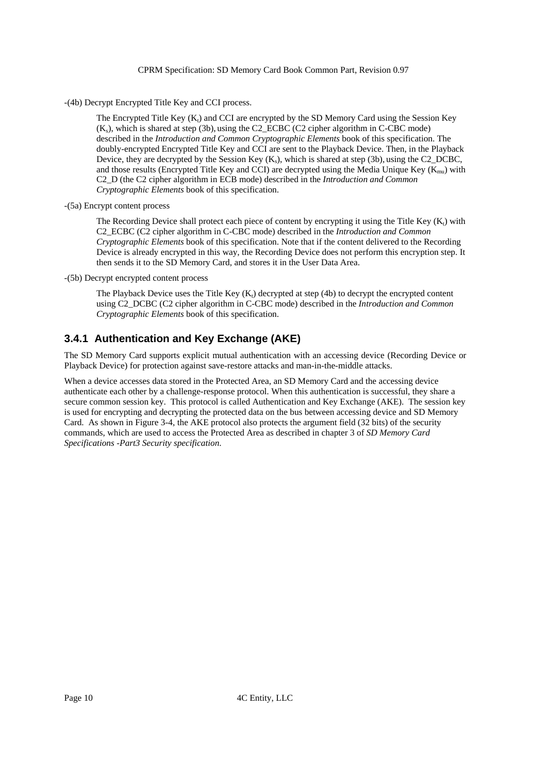-(4b) Decrypt Encrypted Title Key and CCI process.

The Encrypted Title Key  $(K_t)$  and CCI are encrypted by the SD Memory Card using the Session Key  $(K_s)$ , which is shared at step (3b), using the C2\_ECBC (C2 cipher algorithm in C-CBC mode) described in the *Introduction and Common Cryptographic Elements* book of this specification. The doubly-encrypted Encrypted Title Key and CCI are sent to the Playback Device. Then, in the Playback Device, they are decrypted by the Session Key  $(K_s)$ , which is shared at step (3b), using the C2\_DCBC, and those results (Encrypted Title Key and CCI) are decrypted using the Media Unique Key  $(K_{mn})$  with C2\_D (the C2 cipher algorithm in ECB mode) described in the *Introduction and Common Cryptographic Elements* book of this specification.

-(5a) Encrypt content process

The Recording Device shall protect each piece of content by encrypting it using the Title Key  $(K_t)$  with C2\_ECBC (C2 cipher algorithm in C-CBC mode) described in the *Introduction and Common Cryptographic Elements* book of this specification. Note that if the content delivered to the Recording Device is already encrypted in this way, the Recording Device does not perform this encryption step. It then sends it to the SD Memory Card, and stores it in the User Data Area.

-(5b) Decrypt encrypted content process

The Playback Device uses the Title Key  $(K_t)$  decrypted at step (4b) to decrypt the encrypted content using C2\_DCBC (C2 cipher algorithm in C-CBC mode) described in the *Introduction and Common Cryptographic Elements* book of this specification.

## **3.4.1 Authentication and Key Exchange (AKE)**

The SD Memory Card supports explicit mutual authentication with an accessing device (Recording Device or Playback Device) for protection against save-restore attacks and man-in-the-middle attacks.

When a device accesses data stored in the Protected Area, an SD Memory Card and the accessing device authenticate each other by a challenge-response protocol. When this authentication is successful, they share a secure common session key. This protocol is called Authentication and Key Exchange (AKE). The session key is used for encrypting and decrypting the protected data on the bus between accessing device and SD Memory Card. As shown in Figure 3-4, the AKE protocol also protects the argument field (32 bits) of the security commands, which are used to access the Protected Area as described in chapter 3 of *SD Memory Card Specifications -Part3 Security specification*.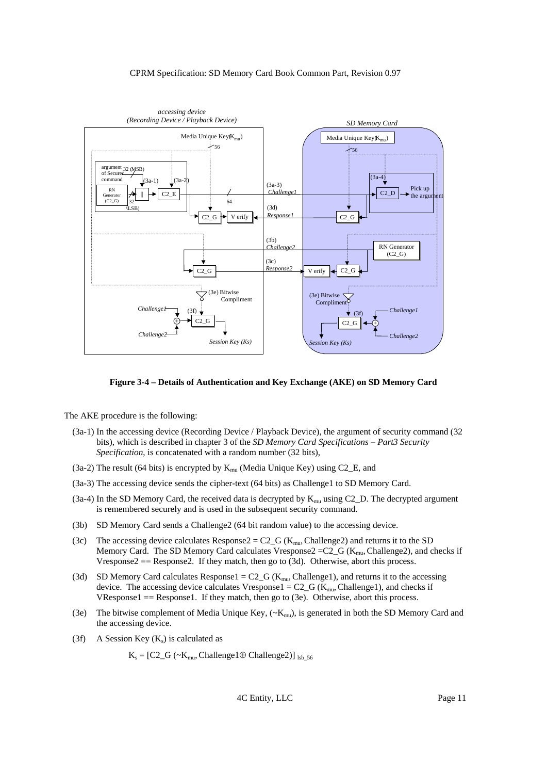

**Figure 3-4 – Details of Authentication and Key Exchange (AKE) on SD Memory Card** 

The AKE procedure is the following:

- (3a-1) In the accessing device (Recording Device / Playback Device), the argument of security command (32 bits), which is described in chapter 3 of the *SD Memory Card Specifications – Part3 Security Specification*, is concatenated with a random number (32 bits),
- (3a-2) The result (64 bits) is encrypted by  $K_{mu}$  (Media Unique Key) using C2\_E, and
- (3a-3) The accessing device sends the cipher-text (64 bits) as Challenge1 to SD Memory Card.
- (3a-4) In the SD Memory Card, the received data is decrypted by  $K_{mu}$  using C2\_D. The decrypted argument is remembered securely and is used in the subsequent security command.
- (3b) SD Memory Card sends a Challenge2 (64 bit random value) to the accessing device.
- (3c) The accessing device calculates Response  $2 = C2\_G$  (K<sub>mu</sub>, Challenge) and returns it to the SD Memory Card. The SD Memory Card calculates Vresponse  $2 = C2_G$  ( $K_{mu}$ , Challenge2), and checks if Vresponse2  $=$  Response2. If they match, then go to (3d). Otherwise, abort this process.
- (3d) SD Memory Card calculates Response1 = C2\_G ( $K_{mu}$ , Challenge1), and returns it to the accessing device. The accessing device calculates Vresponse1 =  $C2\_G$  ( $K<sub>mu</sub>$ , Challenge1), and checks if VResponse1  $=$  Response1. If they match, then go to (3e). Otherwise, abort this process.
- (3e) The bitwise complement of Media Unique Key,  $({\sim}K_{\text{mu}})$ , is generated in both the SD Memory Card and the accessing device.
- (3f) A Session Key  $(K<sub>s</sub>)$  is calculated as

 $K_s = [C2_G (-K_{mu}, Challenge1 \oplus Challenge2)]_{1sh=56}$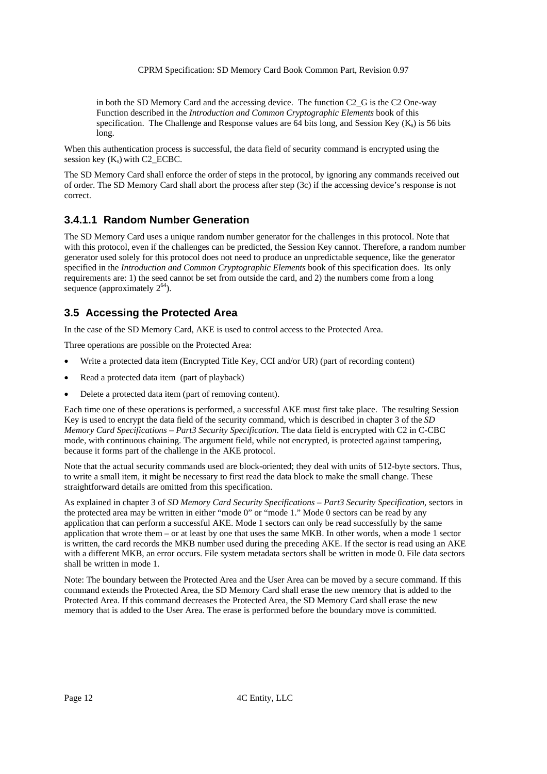in both the SD Memory Card and the accessing device. The function C2\_G is the C2 One-way Function described in the *Introduction and Common Cryptographic Elements* book of this specification. The Challenge and Response values are 64 bits long, and Session Key  $(K_s)$  is 56 bits long.

When this authentication process is successful, the data field of security command is encrypted using the session key  $(K_s)$  with C<sub>2</sub> ECBC.

The SD Memory Card shall enforce the order of steps in the protocol, by ignoring any commands received out of order. The SD Memory Card shall abort the process after step (3c) if the accessing device's response is not correct.

## **3.4.1.1 Random Number Generation**

The SD Memory Card uses a unique random number generator for the challenges in this protocol. Note that with this protocol, even if the challenges can be predicted, the Session Key cannot. Therefore, a random number generator used solely for this protocol does not need to produce an unpredictable sequence, like the generator specified in the *Introduction and Common Cryptographic Elements* book of this specification does. Its only requirements are: 1) the seed cannot be set from outside the card, and 2) the numbers come from a long sequence (approximately  $2^{64}$ ).

## **3.5 Accessing the Protected Area**

In the case of the SD Memory Card, AKE is used to control access to the Protected Area.

Three operations are possible on the Protected Area:

- Write a protected data item (Encrypted Title Key, CCI and/or UR) (part of recording content)
- Read a protected data item (part of playback)
- Delete a protected data item (part of removing content).

Each time one of these operations is performed, a successful AKE must first take place. The resulting Session Key is used to encrypt the data field of the security command, which is described in chapter 3 of the *SD Memory Card Specifications – Part3 Security Specification*. The data field is encrypted with C2 in C-CBC mode, with continuous chaining. The argument field, while not encrypted, is protected against tampering, because it forms part of the challenge in the AKE protocol.

Note that the actual security commands used are block-oriented; they deal with units of 512-byte sectors. Thus, to write a small item, it might be necessary to first read the data block to make the small change. These straightforward details are omitted from this specification.

As explained in chapter 3 of *SD Memory Card Security Specifications – Part3 Security Specification*, sectors in the protected area may be written in either "mode 0" or "mode 1." Mode 0 sectors can be read by any application that can perform a successful AKE. Mode 1 sectors can only be read successfully by the same application that wrote them – or at least by one that uses the same MKB. In other words, when a mode 1 sector is written, the card records the MKB number used during the preceding AKE. If the sector is read using an AKE with a different MKB, an error occurs. File system metadata sectors shall be written in mode 0. File data sectors shall be written in mode 1.

Note: The boundary between the Protected Area and the User Area can be moved by a secure command. If this command extends the Protected Area, the SD Memory Card shall erase the new memory that is added to the Protected Area. If this command decreases the Protected Area, the SD Memory Card shall erase the new memory that is added to the User Area. The erase is performed before the boundary move is committed.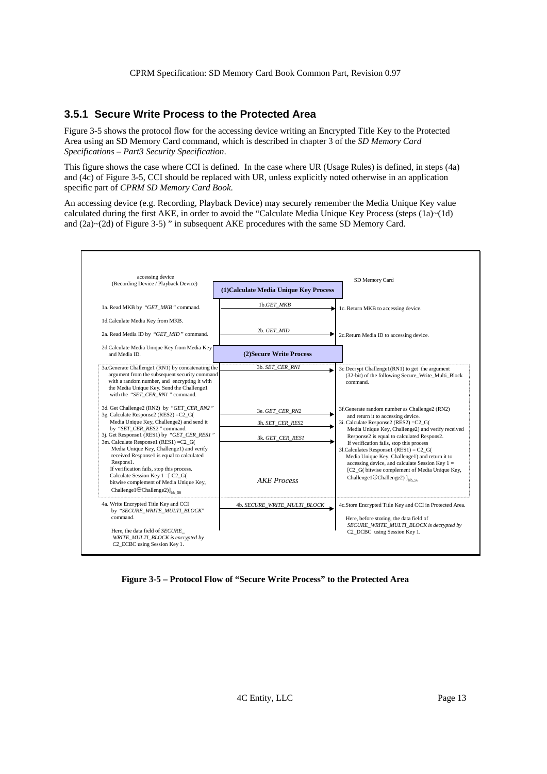## **3.5.1 Secure Write Process to the Protected Area**

Figure 3-5 shows the protocol flow for the accessing device writing an Encrypted Title Key to the Protected Area using an SD Memory Card command, which is described in chapter 3 of the *SD Memory Card Specifications – Part3 Security Specification*.

This figure shows the case where CCI is defined. In the case where UR (Usage Rules) is defined, in steps (4a) and (4c) of Figure 3-5, CCI should be replaced with UR, unless explicitly noted otherwise in an application specific part of *CPRM SD Memory Card Book*.

An accessing device (e.g. Recording, Playback Device) may securely remember the Media Unique Key value calculated during the first AKE, in order to avoid the "Calculate Media Unique Key Process (steps  $(1a)~(1d)$ ) and  $(2a) \sim (2d)$  of Figure 3-5) " in subsequent AKE procedures with the same SD Memory Card.



**Figure 3-5 – Protocol Flow of "Secure Write Process" to the Protected Area**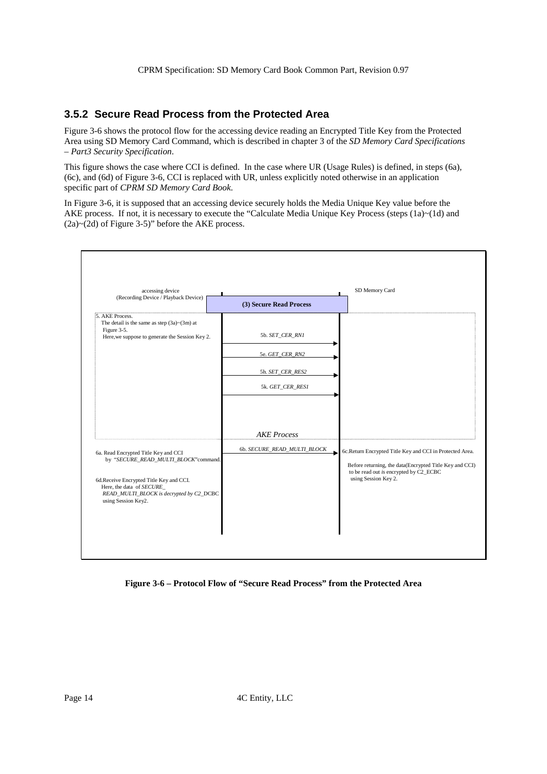## **3.5.2 Secure Read Process from the Protected Area**

Figure 3-6 shows the protocol flow for the accessing device reading an Encrypted Title Key from the Protected Area using SD Memory Card Command, which is described in chapter 3 of the *SD Memory Card Specifications – Part3 Security Specification*.

This figure shows the case where CCI is defined. In the case where UR (Usage Rules) is defined, in steps (6a), (6c), and (6d) of Figure 3-6, CCI is replaced with UR, unless explicitly noted otherwise in an application specific part of *CPRM SD Memory Card Book*.

In Figure 3-6, it is supposed that an accessing device securely holds the Media Unique Key value before the AKE process. If not, it is necessary to execute the "Calculate Media Unique Key Process (steps  $(1a)~(1d)$  and  $(2a)$   $\sim$   $(2d)$  of Figure 3-5)" before the AKE process.



**Figure 3-6 – Protocol Flow of "Secure Read Process" from the Protected Area**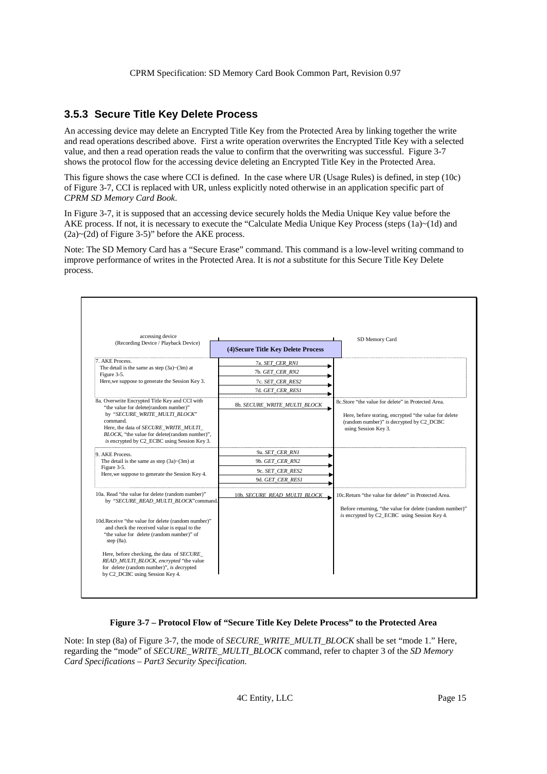## **3.5.3 Secure Title Key Delete Process**

An accessing device may delete an Encrypted Title Key from the Protected Area by linking together the write and read operations described above. First a write operation overwrites the Encrypted Title Key with a selected value, and then a read operation reads the value to confirm that the overwriting was successful. Figure 3-7 shows the protocol flow for the accessing device deleting an Encrypted Title Key in the Protected Area.

This figure shows the case where CCI is defined. In the case where UR (Usage Rules) is defined, in step (10c) of Figure 3-7, CCI is replaced with UR, unless explicitly noted otherwise in an application specific part of *CPRM SD Memory Card Book*.

In Figure 3-7, it is supposed that an accessing device securely holds the Media Unique Key value before the AKE process. If not, it is necessary to execute the "Calculate Media Unique Key Process (steps  $(1a)$   $\sim$   $(1d)$  and  $(2a)$   $\sim$   $(2d)$  of Figure 3-5)" before the AKE process.

Note: The SD Memory Card has a "Secure Erase" command. This command is a low-level writing command to improve performance of writes in the Protected Area. It is *not* a substitute for this Secure Title Key Delete process.

| accessing device<br>(Recording Device / Playback Device)                     | (4) Secure Title Key Delete Process | SD Memory Card                                                                                           |
|------------------------------------------------------------------------------|-------------------------------------|----------------------------------------------------------------------------------------------------------|
| 7. AKE Process.                                                              | 7a. SET CER RN1                     |                                                                                                          |
| The detail is the same as step $(3a)$ ~ $(3m)$ at                            | 7b. GET_CER_RN2                     |                                                                                                          |
| Figure 3-5.<br>Here, we suppose to generate the Session Key 3.               |                                     |                                                                                                          |
|                                                                              | 7c. SET_CER_RES2                    |                                                                                                          |
|                                                                              | 7d. GET CER RESI                    |                                                                                                          |
| 8a. Overwrite Encrypted Title Key and CCI with                               | 8b. SECURE_WRITE_MULTI_BLOCK        | 8c. Store "the value for delete" in Protected Area.                                                      |
| "the value for delete(random number)"<br>by "SECURE WRITE MULTI BLOCK"       |                                     |                                                                                                          |
| command.                                                                     |                                     | Here, before storing, encrypted "the value for delete<br>(random number)" is decrypted by C2 DCBC        |
| Here, the data of SECURE WRITE MULTI                                         |                                     | using Session Key 3.                                                                                     |
| BLOCK, "the value for delete(random number)",                                |                                     |                                                                                                          |
| is encrypted by C2_ECBC using Session Key 3.                                 |                                     |                                                                                                          |
| 9. AKE Process.                                                              | 9a. SET CER RN1                     |                                                                                                          |
| The detail is the same as step $(3a)$ ~ $(3m)$ at                            | 9b. GET_CER_RN2                     |                                                                                                          |
| Figure 3-5.                                                                  | 9c. SET CER RES2                    |                                                                                                          |
| Here, we suppose to generate the Session Key 4.                              | 9d. GET_CER_RES1                    |                                                                                                          |
|                                                                              |                                     |                                                                                                          |
| 10a. Read "the value for delete (random number)"                             | 10b. SECURE READ MULTI BLOCK        | 10c.Return "the value for delete" in Protected Area.                                                     |
| by "SECURE_READ_MULTI_BLOCK"command.                                         |                                     |                                                                                                          |
|                                                                              |                                     | Before returning, "the value for delete (random number)"<br>is encrypted by C2_ECBC using Session Key 4. |
| 10d.Receive "the value for delete (random number)"                           |                                     |                                                                                                          |
| and check the received value is equal to the                                 |                                     |                                                                                                          |
| "the value for delete (random number)" of                                    |                                     |                                                                                                          |
| step $(8a)$ .                                                                |                                     |                                                                                                          |
| Here, before checking, the data of SECURE_                                   |                                     |                                                                                                          |
| READ MULTI BLOCK, encrypted "the value                                       |                                     |                                                                                                          |
| for delete (random number)", is decrypted<br>by C2_DCBC using Session Key 4. |                                     |                                                                                                          |

#### **Figure 3-7 – Protocol Flow of "Secure Title Key Delete Process" to the Protected Area**

Note: In step (8a) of Figure 3-7, the mode of *SECURE\_WRITE\_MULTI\_BLOCK* shall be set "mode 1." Here, regarding the "mode" of *SECURE\_WRITE\_MULTI\_BLOCK* command, refer to chapter 3 of the *SD Memory Card Specifications – Part3 Security Specification*.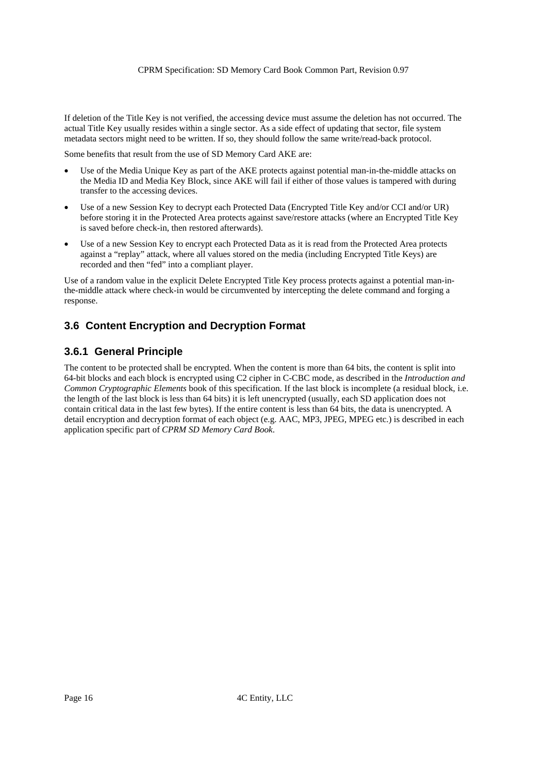If deletion of the Title Key is not verified, the accessing device must assume the deletion has not occurred. The actual Title Key usually resides within a single sector. As a side effect of updating that sector, file system metadata sectors might need to be written. If so, they should follow the same write/read-back protocol.

Some benefits that result from the use of SD Memory Card AKE are:

- Use of the Media Unique Key as part of the AKE protects against potential man-in-the-middle attacks on the Media ID and Media Key Block, since AKE will fail if either of those values is tampered with during transfer to the accessing devices.
- Use of a new Session Key to decrypt each Protected Data (Encrypted Title Key and/or CCI and/or UR) before storing it in the Protected Area protects against save/restore attacks (where an Encrypted Title Key is saved before check-in, then restored afterwards).
- Use of a new Session Key to encrypt each Protected Data as it is read from the Protected Area protects against a "replay" attack, where all values stored on the media (including Encrypted Title Keys) are recorded and then "fed" into a compliant player.

Use of a random value in the explicit Delete Encrypted Title Key process protects against a potential man-inthe-middle attack where check-in would be circumvented by intercepting the delete command and forging a response.

## **3.6 Content Encryption and Decryption Format**

## **3.6.1 General Principle**

The content to be protected shall be encrypted. When the content is more than 64 bits, the content is split into 64-bit blocks and each block is encrypted using C2 cipher in C-CBC mode, as described in the *Introduction and Common Cryptographic Elements* book of this specification. If the last block is incomplete (a residual block, i.e. the length of the last block is less than 64 bits) it is left unencrypted (usually, each SD application does not contain critical data in the last few bytes). If the entire content is less than 64 bits, the data is unencrypted. A detail encryption and decryption format of each object (e.g. AAC, MP3, JPEG, MPEG etc.) is described in each application specific part of *CPRM SD Memory Card Book*.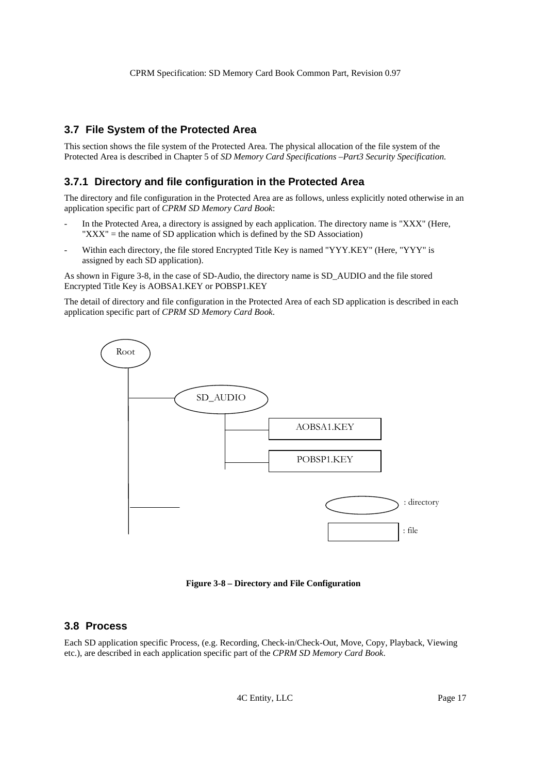## **3.7 File System of the Protected Area**

This section shows the file system of the Protected Area. The physical allocation of the file system of the Protected Area is described in Chapter 5 of *SD Memory Card Specifications –Part3 Security Specification*.

### **3.7.1 Directory and file configuration in the Protected Area**

The directory and file configuration in the Protected Area are as follows, unless explicitly noted otherwise in an application specific part of *CPRM SD Memory Card Book*:

- In the Protected Area, a directory is assigned by each application. The directory name is "XXX" (Here, " $\text{XXX}$ " = the name of SD application which is defined by the SD Association)
- Within each directory, the file stored Encrypted Title Key is named "YYY.KEY" (Here, "YYY" is assigned by each SD application).

As shown in Figure 3-8, in the case of SD-Audio, the directory name is SD\_AUDIO and the file stored Encrypted Title Key is AOBSA1.KEY or POBSP1.KEY

The detail of directory and file configuration in the Protected Area of each SD application is described in each application specific part of *CPRM SD Memory Card Book*.



**Figure 3-8 – Directory and File Configuration** 

#### **3.8 Process**

Each SD application specific Process, (e.g. Recording, Check-in/Check-Out, Move, Copy, Playback, Viewing etc.), are described in each application specific part of the *CPRM SD Memory Card Book*.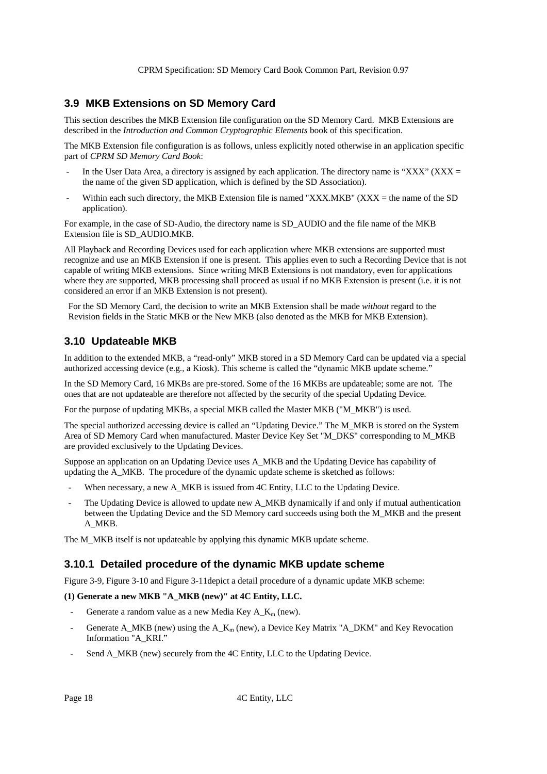## **3.9 MKB Extensions on SD Memory Card**

This section describes the MKB Extension file configuration on the SD Memory Card. MKB Extensions are described in the *Introduction and Common Cryptographic Elements* book of this specification.

The MKB Extension file configuration is as follows, unless explicitly noted otherwise in an application specific part of *CPRM SD Memory Card Book*:

- In the User Data Area, a directory is assigned by each application. The directory name is "XXX" (XXX = the name of the given SD application, which is defined by the SD Association).
- Within each such directory, the MKB Extension file is named "XXX.MKB" (XXX = the name of the SD application).

For example, in the case of SD-Audio, the directory name is SD\_AUDIO and the file name of the MKB Extension file is SD\_AUDIO.MKB.

All Playback and Recording Devices used for each application where MKB extensions are supported must recognize and use an MKB Extension if one is present. This applies even to such a Recording Device that is not capable of writing MKB extensions. Since writing MKB Extensions is not mandatory, even for applications where they are supported, MKB processing shall proceed as usual if no MKB Extension is present (i.e. it is not considered an error if an MKB Extension is not present).

For the SD Memory Card, the decision to write an MKB Extension shall be made *without* regard to the Revision fields in the Static MKB or the New MKB (also denoted as the MKB for MKB Extension).

## **3.10 Updateable MKB**

In addition to the extended MKB, a "read-only" MKB stored in a SD Memory Card can be updated via a special authorized accessing device (e.g., a Kiosk). This scheme is called the "dynamic MKB update scheme."

In the SD Memory Card, 16 MKBs are pre-stored. Some of the 16 MKBs are updateable; some are not. The ones that are not updateable are therefore not affected by the security of the special Updating Device.

For the purpose of updating MKBs, a special MKB called the Master MKB ("M\_MKB") is used.

The special authorized accessing device is called an "Updating Device." The M\_MKB is stored on the System Area of SD Memory Card when manufactured. Master Device Key Set "M\_DKS" corresponding to M\_MKB are provided exclusively to the Updating Devices.

Suppose an application on an Updating Device uses A\_MKB and the Updating Device has capability of updating the A\_MKB. The procedure of the dynamic update scheme is sketched as follows:

- When necessary, a new A\_MKB is issued from 4C Entity, LLC to the Updating Device.
- The Updating Device is allowed to update new A\_MKB dynamically if and only if mutual authentication between the Updating Device and the SD Memory card succeeds using both the M\_MKB and the present A\_MKB.

The M\_MKB itself is not updateable by applying this dynamic MKB update scheme.

### **3.10.1 Detailed procedure of the dynamic MKB update scheme**

Figure 3-9, Figure 3-10 and Figure 3-11depict a detail procedure of a dynamic update MKB scheme:

#### **(1) Generate a new MKB "A\_MKB (new)" at 4C Entity, LLC.**

- Generate a random value as a new Media Key A<sub>Km</sub> (new).
- Generate A\_MKB (new) using the  $A_K_m$  (new), a Device Key Matrix "A\_DKM" and Key Revocation Information "A\_KRI."
- Send A\_MKB (new) securely from the 4C Entity, LLC to the Updating Device.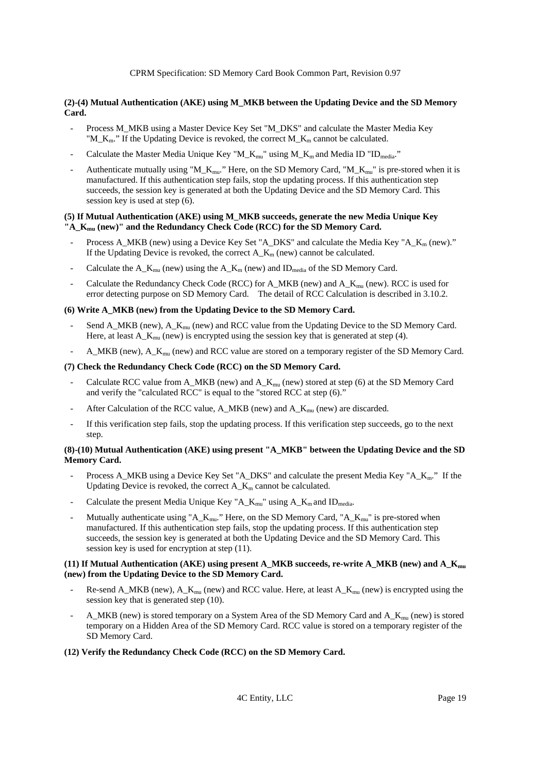#### **(2)-(4) Mutual Authentication (AKE) using M\_MKB between the Updating Device and the SD Memory Card.**

- Process M\_MKB using a Master Device Key Set "M\_DKS" and calculate the Master Media Key "M\_K<sub>m</sub>." If the Updating Device is revoked, the correct M\_K<sub>m</sub> cannot be calculated.
- Calculate the Master Media Unique Key " $M_K_{mu}$ " using  $M_K_{mu}$  and Media ID "ID<sub>media</sub>."
- Authenticate mutually using "M\_K<sub>mu</sub>." Here, on the SD Memory Card, "M\_K<sub>mu</sub>" is pre-stored when it is manufactured. If this authentication step fails, stop the updating process. If this authentication step succeeds, the session key is generated at both the Updating Device and the SD Memory Card. This session key is used at step (6).

#### **(5) If Mutual Authentication (AKE) using M\_MKB succeeds, generate the new Media Unique Key "A\_Kmu (new)" and the Redundancy Check Code (RCC) for the SD Memory Card.**

- Process A\_MKB (new) using a Device Key Set "A\_DKS" and calculate the Media Key "A\_K<sub>m</sub> (new)." If the Updating Device is revoked, the correct  $A_K$ <sub>m</sub> (new) cannot be calculated.
- Calculate the A\_K<sub>mu</sub> (new) using the A\_K<sub>m</sub> (new) and ID<sub>media</sub> of the SD Memory Card.
- Calculate the Redundancy Check Code (RCC) for  $A_MKB$  (new) and  $A_K_{mu}$  (new). RCC is used for error detecting purpose on SD Memory Card. The detail of RCC Calculation is described in 3.10.2.

#### **(6) Write A\_MKB (new) from the Updating Device to the SD Memory Card.**

- Send A\_MKB (new), A\_K<sub>mu</sub> (new) and RCC value from the Updating Device to the SD Memory Card. Here, at least  $A_K_{mu}$  (new) is encrypted using the session key that is generated at step (4).
- A\_MKB (new), A\_K<sub>mu</sub> (new) and RCC value are stored on a temporary register of the SD Memory Card.

#### **(7) Check the Redundancy Check Code (RCC) on the SD Memory Card.**

- Calculate RCC value from A\_MKB (new) and A\_Kmu (new) stored at step (6) at the SD Memory Card and verify the "calculated RCC" is equal to the "stored RCC at step (6)."
- After Calculation of the RCC value,  $A_MKB$  (new) and  $A_K_{mu}$  (new) are discarded.
- If this verification step fails, stop the updating process. If this verification step succeeds, go to the next step.

#### **(8)-(10) Mutual Authentication (AKE) using present "A\_MKB" between the Updating Device and the SD Memory Card.**

- Process A\_MKB using a Device Key Set "A\_DKS" and calculate the present Media Key "A\_K<sub>m</sub>." If the Updating Device is revoked, the correct  $A_K_m$  cannot be calculated.
- Calculate the present Media Unique Key "A\_K<sub>mu</sub>" using A\_K<sub>m</sub> and ID<sub>media</sub>.
- Mutually authenticate using "A\_K<sub>mu</sub>." Here, on the SD Memory Card, "A\_K<sub>mu</sub>" is pre-stored when manufactured. If this authentication step fails, stop the updating process. If this authentication step succeeds, the session key is generated at both the Updating Device and the SD Memory Card. This session key is used for encryption at step (11).

#### **(11) If Mutual Authentication (AKE) using present A\_MKB succeeds, re-write A\_MKB (new) and A\_Kmu (new) from the Updating Device to the SD Memory Card.**

- Re-send A\_MKB (new),  $A_K_{mu}$  (new) and RCC value. Here, at least  $A_K_{mu}$  (new) is encrypted using the session key that is generated step (10).
- A\_MKB (new) is stored temporary on a System Area of the SD Memory Card and A\_K<sub>mu</sub> (new) is stored temporary on a Hidden Area of the SD Memory Card. RCC value is stored on a temporary register of the SD Memory Card.

#### **(12) Verify the Redundancy Check Code (RCC) on the SD Memory Card.**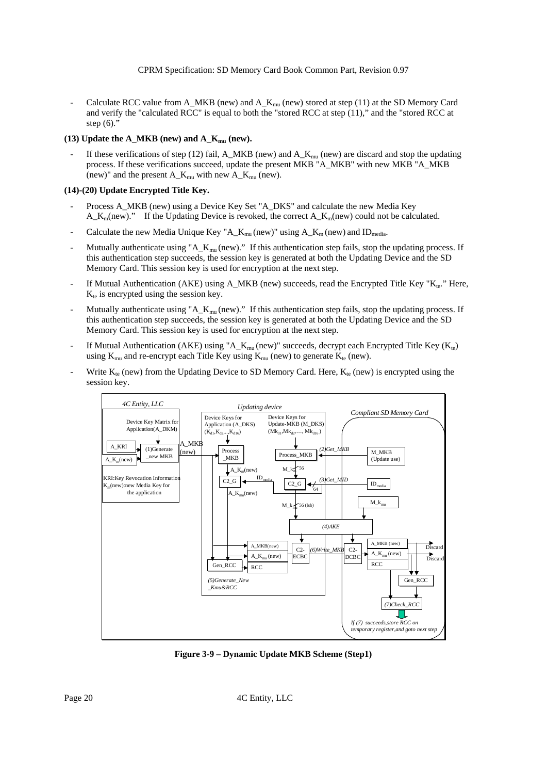Calculate RCC value from  $A_MKB$  (new) and  $A_K_{mu}$  (new) stored at step (11) at the SD Memory Card and verify the "calculated RCC" is equal to both the "stored RCC at step (11)," and the "stored RCC at step  $(6)$ .

#### (13) Update the  $A_MKB$  (new) and  $A_K_{mu}$  (new).

If these verifications of step (12) fail, A\_MKB (new) and  $A_K_{mu}$  (new) are discard and stop the updating process. If these verifications succeed, update the present MKB "A\_MKB" with new MKB "A\_MKB (new)" and the present  $A_K_{mu}$  with new  $A_K_{mu}$  (new).

#### **(14)-(20) Update Encrypted Title Key.**

- Process A\_MKB (new) using a Device Key Set "A\_DKS" and calculate the new Media Key  $A_K<sub>m</sub>(new).$ " If the Updating Device is revoked, the correct  $A_K<sub>m</sub>(new)$  could not be calculated.
- Calculate the new Media Unique Key "A\_K<sub>mu</sub> (new)" using  $A_K_m$  (new) and ID<sub>media</sub>.
- Mutually authenticate using "A\_K<sub>mu</sub> (new)." If this authentication step fails, stop the updating process. If this authentication step succeeds, the session key is generated at both the Updating Device and the SD Memory Card. This session key is used for encryption at the next step.
- If Mutual Authentication (AKE) using A\_MKB (new) succeeds, read the Encrypted Title Key " $K_{te}$ ." Here,  $K_{te}$  is encrypted using the session key.
- Mutually authenticate using "A\_K<sub>mu</sub> (new)." If this authentication step fails, stop the updating process. If this authentication step succeeds, the session key is generated at both the Updating Device and the SD Memory Card. This session key is used for encryption at the next step.
- If Mutual Authentication (AKE) using "A\_K<sub>mu</sub> (new)" succeeds, decrypt each Encrypted Title Key (K<sub>te</sub>) using  $K_{mu}$  and re-encrypt each Title Key using  $K_{mu}$  (new) to generate  $K_{te}$  (new).
- Write  $K_{te}$  (new) from the Updating Device to SD Memory Card. Here,  $K_{te}$  (new) is encrypted using the session key.



**Figure 3-9 – Dynamic Update MKB Scheme (Step1)**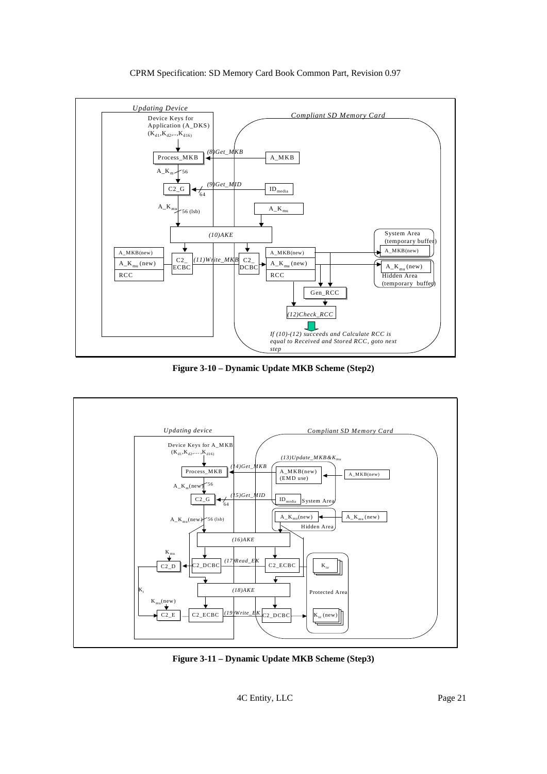

CPRM Specification: SD Memory Card Book Common Part, Revision 0.97

**Figure 3-10 – Dynamic Update MKB Scheme (Step2)** 



**Figure 3-11 – Dynamic Update MKB Scheme (Step3)**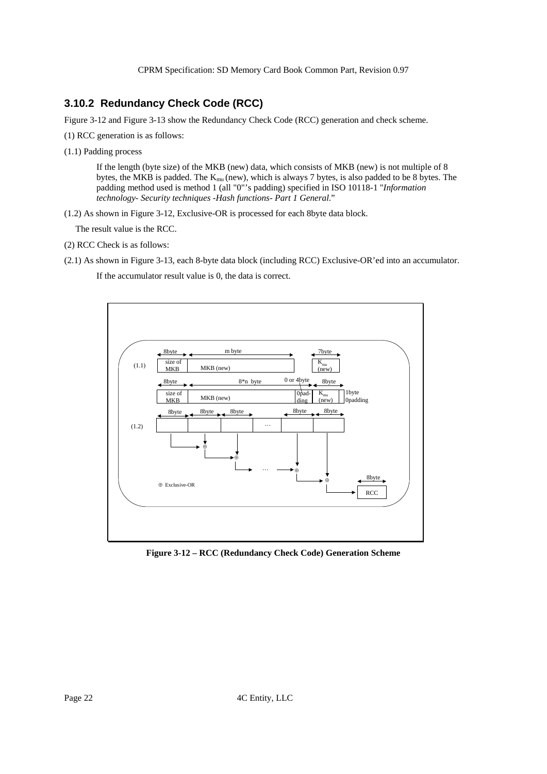## **3.10.2 Redundancy Check Code (RCC)**

Figure 3-12 and Figure 3-13 show the Redundancy Check Code (RCC) generation and check scheme.

- (1) RCC generation is as follows:
- (1.1) Padding process

If the length (byte size) of the MKB (new) data, which consists of MKB (new) is not multiple of 8 bytes, the MKB is padded. The Kmu (new), which is always 7 bytes, is also padded to be 8 bytes. The padding method used is method 1 (all "0"'s padding) specified in ISO 10118-1 "*Information technology- Security techniques -Hash functions- Part 1 General*."

(1.2) As shown in Figure 3-12, Exclusive-OR is processed for each 8byte data block.

The result value is the RCC.

- (2) RCC Check is as follows:
- (2.1) As shown in Figure 3-13, each 8-byte data block (including RCC) Exclusive-OR'ed into an accumulator.

If the accumulator result value is 0, the data is correct.



**Figure 3-12 – RCC (Redundancy Check Code) Generation Scheme**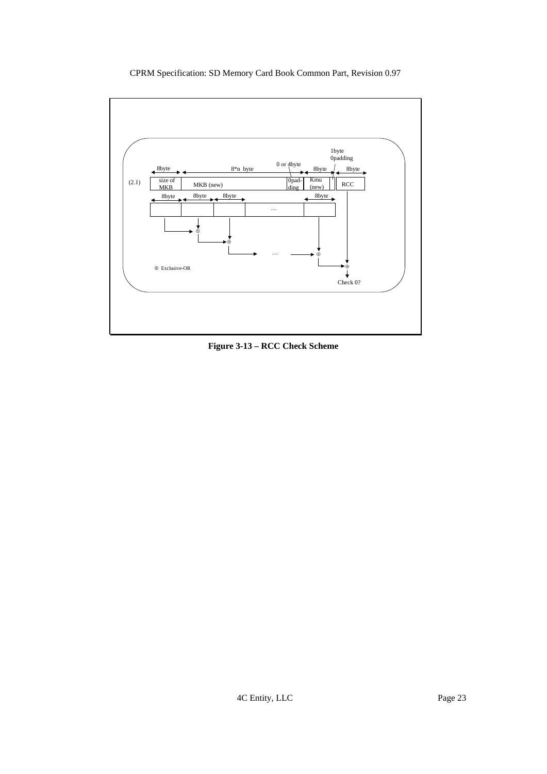

**Figure 3-13 – RCC Check Scheme**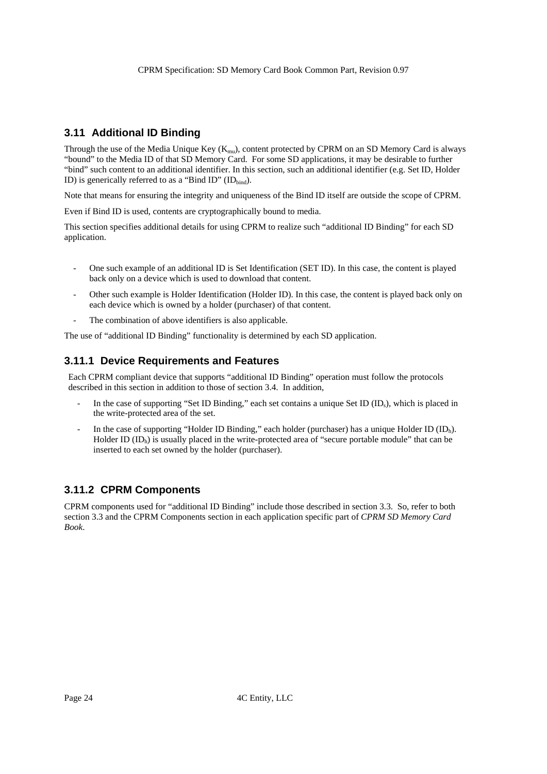## **3.11 Additional ID Binding**

Through the use of the Media Unique Key  $(K_{\text{mu}})$ , content protected by CPRM on an SD Memory Card is always "bound" to the Media ID of that SD Memory Card. For some SD applications, it may be desirable to further "bind" such content to an additional identifier. In this section, such an additional identifier (e.g. Set ID, Holder ID) is generically referred to as a "Bind ID"  $(ID<sub>bind</sub>)$ .

Note that means for ensuring the integrity and uniqueness of the Bind ID itself are outside the scope of CPRM.

Even if Bind ID is used, contents are cryptographically bound to media.

This section specifies additional details for using CPRM to realize such "additional ID Binding" for each SD application.

- One such example of an additional ID is Set Identification (SET ID). In this case, the content is played back only on a device which is used to download that content.
- Other such example is Holder Identification (Holder ID). In this case, the content is played back only on each device which is owned by a holder (purchaser) of that content.
- The combination of above identifiers is also applicable.

The use of "additional ID Binding" functionality is determined by each SD application.

## **3.11.1 Device Requirements and Features**

Each CPRM compliant device that supports "additional ID Binding" operation must follow the protocols described in this section in addition to those of section 3.4. In addition,

- In the case of supporting "Set ID Binding," each set contains a unique Set ID (ID<sub>s</sub>), which is placed in the write-protected area of the set.
- In the case of supporting "Holder ID Binding," each holder (purchaser) has a unique Holder ID  $(ID_h)$ . Holder ID  $(ID<sub>h</sub>)$  is usually placed in the write-protected area of "secure portable module" that can be inserted to each set owned by the holder (purchaser).

## **3.11.2 CPRM Components**

CPRM components used for "additional ID Binding" include those described in section 3.3. So, refer to both section 3.3 and the CPRM Components section in each application specific part of *CPRM SD Memory Card Book*.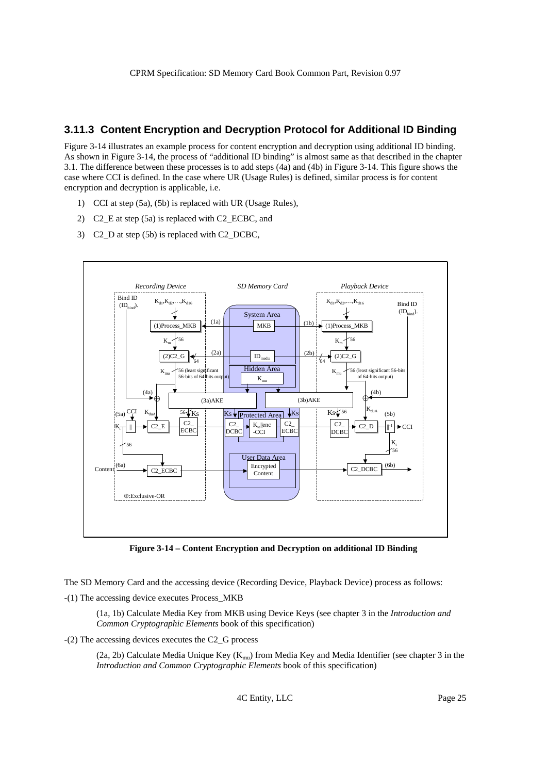## **3.11.3 Content Encryption and Decryption Protocol for Additional ID Binding**

Figure 3-14 illustrates an example process for content encryption and decryption using additional ID binding. As shown in Figure 3-14, the process of "additional ID binding" is almost same as that described in the chapter 3.1*.* The difference between these processes is to add steps (4a) and (4b) in Figure 3-14. This figure shows the case where CCI is defined. In the case where UR (Usage Rules) is defined, similar process is for content encryption and decryption is applicable, i.e.

- 1) CCI at step (5a), (5b) is replaced with UR (Usage Rules),
- 2) C2 E at step  $(5a)$  is replaced with C2 ECBC, and
- 3) C2\_D at step (5b) is replaced with C2\_DCBC,



**Figure 3-14 – Content Encryption and Decryption on additional ID Binding** 

The SD Memory Card and the accessing device (Recording Device, Playback Device) process as follows:

-(1) The accessing device executes Process\_MKB

(1a, 1b) Calculate Media Key from MKB using Device Keys (see chapter 3 in the *Introduction and Common Cryptographic Elements* book of this specification)

-(2) The accessing devices executes the C2\_G process

(2a, 2b) Calculate Media Unique Key ( $K_{\text{mu}}$ ) from Media Key and Media Identifier (see chapter 3 in the *Introduction and Common Cryptographic Elements* book of this specification)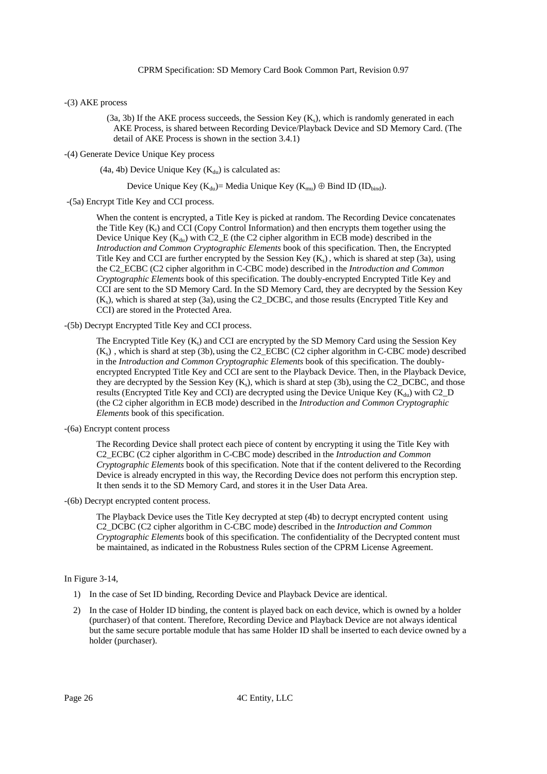-(3) AKE process

(3a, 3b) If the AKE process succeeds, the Session Key  $(K_s)$ , which is randomly generated in each AKE Process, is shared between Recording Device/Playback Device and SD Memory Card. (The detail of AKE Process is shown in the section 3.4.1)

-(4) Generate Device Unique Key process

(4a, 4b) Device Unique Key  $(K_{du})$  is calculated as:

Device Unique Key ( $K_{du}$ )= Media Unique Key ( $K_{mu}$ )  $\oplus$  Bind ID (ID<sub>bind</sub>).

-(5a) Encrypt Title Key and CCI process.

When the content is encrypted, a Title Key is picked at random. The Recording Device concatenates the Title Key  $(K_t)$  and CCI (Copy Control Information) and then encrypts them together using the Device Unique Key  $(K_{du})$  with C2\_E (the C2 cipher algorithm in ECB mode) described in the *Introduction and Common Cryptographic Elements* book of this specification. Then, the Encrypted Title Key and CCI are further encrypted by the Session Key  $(K_s)$ , which is shared at step (3a), using the C2\_ECBC (C2 cipher algorithm in C-CBC mode) described in the *Introduction and Common Cryptographic Elements* book of this specification. The doubly-encrypted Encrypted Title Key and CCI are sent to the SD Memory Card. In the SD Memory Card, they are decrypted by the Session Key  $(K<sub>s</sub>)$ , which is shared at step (3a), using the C2\_DCBC, and those results (Encrypted Title Key and CCI) are stored in the Protected Area.

-(5b) Decrypt Encrypted Title Key and CCI process.

The Encrypted Title Key (K<sub>c</sub>) and CCI are encrypted by the SD Memory Card using the Session Key  $(K<sub>s</sub>)$ , which is shard at step (3b), using the C2\_ECBC (C2 cipher algorithm in C-CBC mode) described in the *Introduction and Common Cryptographic Elements* book of this specification. The doublyencrypted Encrypted Title Key and CCI are sent to the Playback Device. Then, in the Playback Device, they are decrypted by the Session Key  $(K_s)$ , which is shard at step (3b), using the C2\_DCBC, and those results (Encrypted Title Key and CCI) are decrypted using the Device Unique Key ( $K_{du}$ ) with C2\_D (the C2 cipher algorithm in ECB mode) described in the *Introduction and Common Cryptographic Elements* book of this specification.

#### -(6a) Encrypt content process

The Recording Device shall protect each piece of content by encrypting it using the Title Key with C2\_ECBC (C2 cipher algorithm in C-CBC mode) described in the *Introduction and Common Cryptographic Elements* book of this specification. Note that if the content delivered to the Recording Device is already encrypted in this way, the Recording Device does not perform this encryption step. It then sends it to the SD Memory Card, and stores it in the User Data Area.

#### -(6b) Decrypt encrypted content process.

The Playback Device uses the Title Key decrypted at step (4b) to decrypt encrypted content using C2\_DCBC (C2 cipher algorithm in C-CBC mode) described in the *Introduction and Common Cryptographic Elements* book of this specification. The confidentiality of the Decrypted content must be maintained, as indicated in the Robustness Rules section of the CPRM License Agreement.

#### In Figure 3-14,

- 1) In the case of Set ID binding, Recording Device and Playback Device are identical.
- 2) In the case of Holder ID binding, the content is played back on each device, which is owned by a holder (purchaser) of that content. Therefore, Recording Device and Playback Device are not always identical but the same secure portable module that has same Holder ID shall be inserted to each device owned by a holder (purchaser).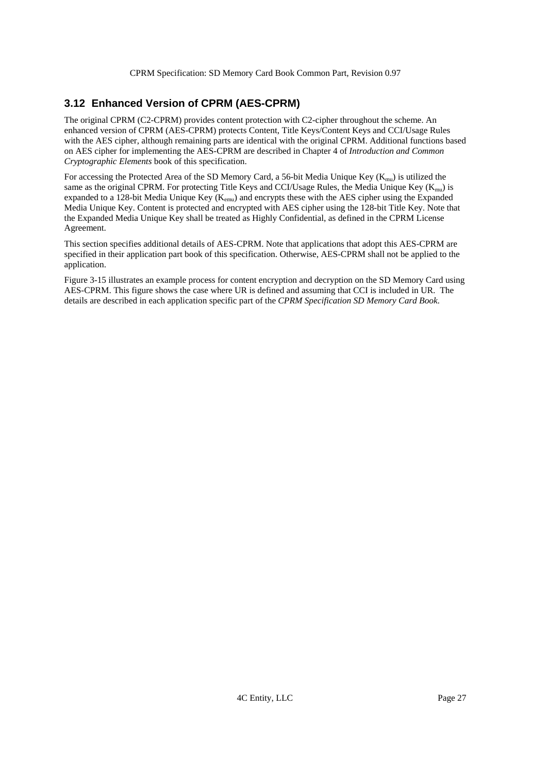## **3.12 Enhanced Version of CPRM (AES-CPRM)**

The original CPRM (C2-CPRM) provides content protection with C2-cipher throughout the scheme. An enhanced version of CPRM (AES-CPRM) protects Content, Title Keys/Content Keys and CCI/Usage Rules with the AES cipher, although remaining parts are identical with the original CPRM. Additional functions based on AES cipher for implementing the AES-CPRM are described in Chapter 4 of *Introduction and Common Cryptographic Elements* book of this specification.

For accessing the Protected Area of the SD Memory Card, a 56-bit Media Unique Key ( $K_{mu}$ ) is utilized the same as the original CPRM. For protecting Title Keys and CCI/Usage Rules, the Media Unique Key ( $K_{\text{mu}}$ ) is expanded to a 128-bit Media Unique Key (K<sub>emu</sub>) and encrypts these with the AES cipher using the Expanded Media Unique Key. Content is protected and encrypted with AES cipher using the 128-bit Title Key. Note that the Expanded Media Unique Key shall be treated as Highly Confidential, as defined in the CPRM License Agreement.

This section specifies additional details of AES-CPRM. Note that applications that adopt this AES-CPRM are specified in their application part book of this specification. Otherwise, AES-CPRM shall not be applied to the application.

Figure 3-15 illustrates an example process for content encryption and decryption on the SD Memory Card using AES-CPRM. This figure shows the case where UR is defined and assuming that CCI is included in UR. The details are described in each application specific part of the *CPRM Specification SD Memory Card Book*.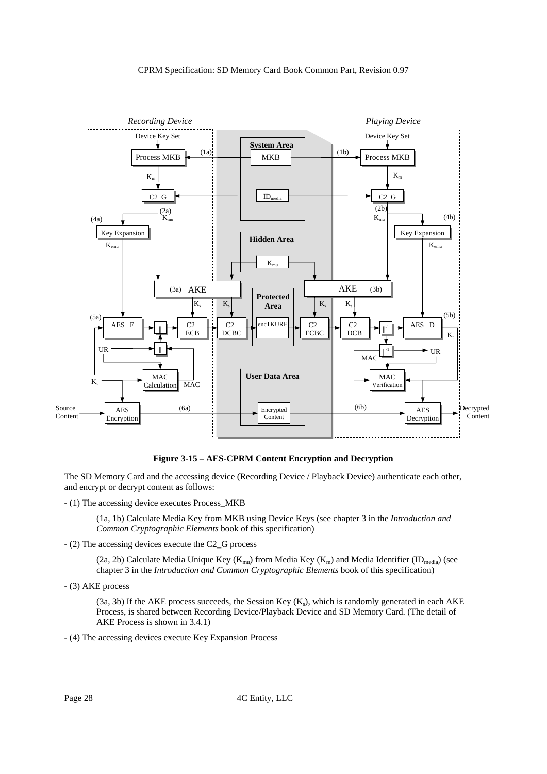

#### **Figure 3-15 – AES-CPRM Content Encryption and Decryption**

The SD Memory Card and the accessing device (Recording Device / Playback Device) authenticate each other, and encrypt or decrypt content as follows:

- (1) The accessing device executes Process\_MKB

(1a, 1b) Calculate Media Key from MKB using Device Keys (see chapter 3 in the *Introduction and Common Cryptographic Elements* book of this specification)

- (2) The accessing devices execute the C2\_G process

(2a, 2b) Calculate Media Unique Key ( $K_{mu}$ ) from Media Key ( $K_{m}$ ) and Media Identifier (ID<sub>media</sub>) (see chapter 3 in the *Introduction and Common Cryptographic Elements* book of this specification)

- (3) AKE process

 $(3a, 3b)$  If the AKE process succeeds, the Session Key  $(K_s)$ , which is randomly generated in each AKE Process, is shared between Recording Device/Playback Device and SD Memory Card. (The detail of AKE Process is shown in 3.4.1)

- (4) The accessing devices execute Key Expansion Process